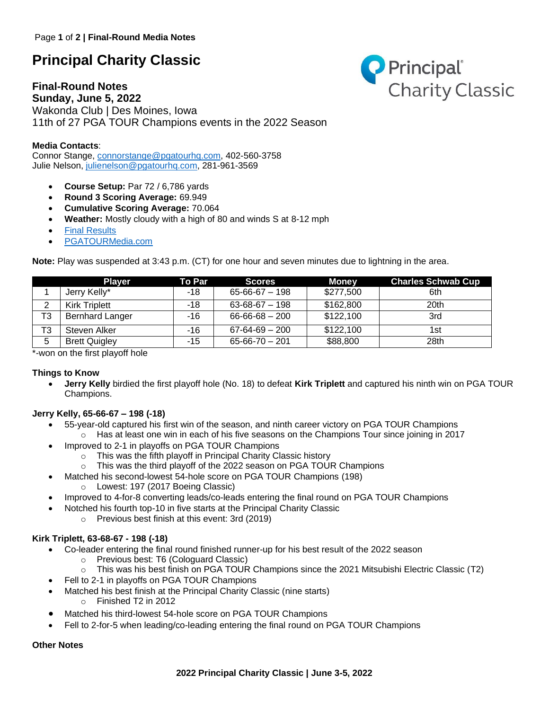# **Principal Charity Classic**

# **Final-Round Notes**



**Sunday, June 5, 2022** Wakonda Club | Des Moines, Iowa 11th of 27 PGA TOUR Champions events in the 2022 Season

## **Media Contacts**:

Connor Stange, [connorstange@pgatourhq.com,](mailto:connorstange@pgatourhq.com) 402-560-3758 Julie Nelson, [julienelson@pgatourhq.com,](mailto:julienelson@pgatourhq.com) 281-961-3569

- **Course Setup:** Par 72 / 6,786 yards
- **Round 3 Scoring Average:** 69.949
- **Cumulative Scoring Average:** 70.064
- **Weather:** Mostly cloudy with a high of 80 and winds S at 8-12 mph
- **[Final Results](https://www.pgatour.com/champions/competition/2022/principal-charity-classic/leaderboard.html)**
- [PGATOURMedia.com](https://pgatourmedia.pgatourhq.com/tours/2022/pgatourchampions/principalcharityclassic)

**Note:** Play was suspended at 3:43 p.m. (CT) for one hour and seven minutes due to lightning in the area.

|                | <b>Plaver</b>          | <b>To Par</b> | <b>Scores</b>        | Money     | <b>Charles Schwab Cup</b> |
|----------------|------------------------|---------------|----------------------|-----------|---------------------------|
|                | Jerry Kelly*           | -18           | $65 - 66 - 67 - 198$ | \$277,500 | 6th                       |
| 2              | <b>Kirk Triplett</b>   | -18           | $63 - 68 - 67 - 198$ | \$162,800 | 20th                      |
| T3             | <b>Bernhard Langer</b> | -16           | $66 - 66 - 68 - 200$ | \$122,100 | 3rd                       |
| T <sub>3</sub> | Steven Alker           | -16           | $67 - 64 - 69 - 200$ | \$122,100 | 1st                       |
| 5              | <b>Brett Quigley</b>   | $-15$         | $65 - 66 - 70 - 201$ | \$88,800  | 28th                      |

\*-won on the first playoff hole

### **Things to Know**

• **Jerry Kelly** birdied the first playoff hole (No. 18) to defeat **Kirk Triplett** and captured his ninth win on PGA TOUR Champions.

### **Jerry Kelly, 65-66-67 – 198 (-18)**

- 55-year-old captured his first win of the season, and ninth career victory on PGA TOUR Champions
	- $\circ$  Has at least one win in each of his five seasons on the Champions Tour since joining in 2017 • Improved to 2-1 in playoffs on PGA TOUR Champions
		- o This was the fifth playoff in Principal Charity Classic history
			- $\circ$  This was the third playoff of the 2022 season on PGA TOUR Champions
- Matched his second-lowest 54-hole score on PGA TOUR Champions (198)
	- o Lowest: 197 (2017 Boeing Classic)
- Improved to 4-for-8 converting leads/co-leads entering the final round on PGA TOUR Champions
- Notched his fourth top-10 in five starts at the Principal Charity Classic
	- o Previous best finish at this event: 3rd (2019)

### **Kirk Triplett, 63-68-67 - 198 (-18)**

- Co-leader entering the final round finished runner-up for his best result of the 2022 season
	- o Previous best: T6 (Cologuard Classic)
	- o This was his best finish on PGA TOUR Champions since the 2021 Mitsubishi Electric Classic (T2)
- Fell to 2-1 in playoffs on PGA TOUR Champions
- Matched his best finish at the Principal Charity Classic (nine starts) o Finished T2 in 2012
- Matched his third-lowest 54-hole score on PGA TOUR Champions
- Fell to 2-for-5 when leading/co-leading entering the final round on PGA TOUR Champions

#### **Other Notes**